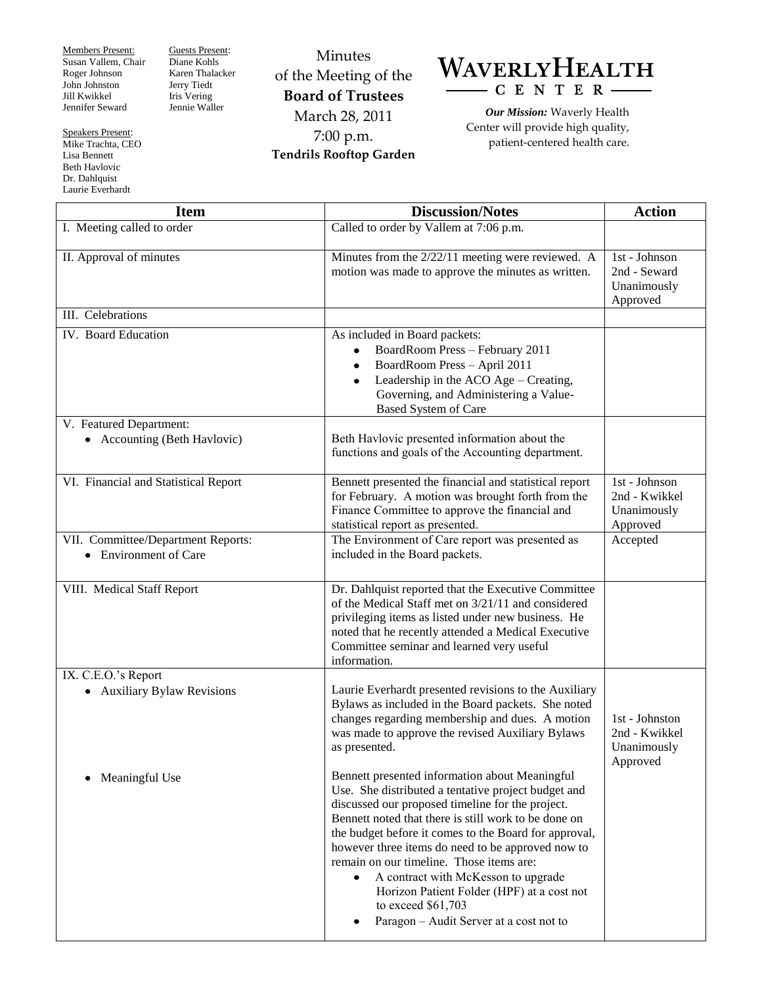Members Present: Susan Vallem, Chair Roger Johnson John Johnston Jill Kwikkel Jennifer Seward

Guests Present: Diane Kohls Karen Thalacker Jerry Tiedt Iris Vering Jennie Waller

Minutes of the Meeting of the **Board of Trustees** March 28, 2011 7:00 p.m. **Tendrils Rooftop Garden**



*Our Mission:* Waverly Health Center will provide high quality, patient-centered health care.

**Item Action Discussion/Notes Action** I. Meeting called to order Called to order Called to order by Vallem at 7:06 p.m. II. Approval of minutes  $\vert$  Minutes from the 2/22/11 meeting were reviewed. A motion was made to approve the minutes as written. 1st - Johnson 2nd - Seward Unanimously Approved III. Celebrations IV. Board Education As included in Board packets: BoardRoom Press – February 2011 BoardRoom Press – April 2011 Leadership in the ACO Age – Creating, Governing, and Administering a Value-Based System of Care V. Featured Department: • Accounting (Beth Havlovic) Beth Havlovic presented information about the functions and goals of the Accounting department. VI. Financial and Statistical Report Bennett presented the financial and statistical report for February. A motion was brought forth from the Finance Committee to approve the financial and statistical report as presented. 1st - Johnson 2nd - Kwikkel Unanimously Approved VII. Committee/Department Reports: Environment of Care The Environment of Care report was presented as included in the Board packets. Accepted VIII. Medical Staff Report **Dr. Dahlquist reported that the Executive Committee** of the Medical Staff met on 3/21/11 and considered privileging items as listed under new business. He noted that he recently attended a Medical Executive Committee seminar and learned very useful information. IX. C.E.O.'s Report Auxiliary Bylaw Revisions • Meaningful Use Laurie Everhardt presented revisions to the Auxiliary Bylaws as included in the Board packets. She noted changes regarding membership and dues. A motion was made to approve the revised Auxiliary Bylaws as presented. Bennett presented information about Meaningful Use. She distributed a tentative project budget and discussed our proposed timeline for the project. Bennett noted that there is still work to be done on the budget before it comes to the Board for approval, however three items do need to be approved now to remain on our timeline. Those items are: A contract with McKesson to upgrade Horizon Patient Folder (HPF) at a cost not to exceed \$61,703 Paragon – Audit Server at a cost not to 1st - Johnston 2nd - Kwikkel Unanimously Approved

Speakers Present: Mike Trachta, CEO Lisa Bennett Beth Havlovic Dr. Dahlquist

Laurie Everhardt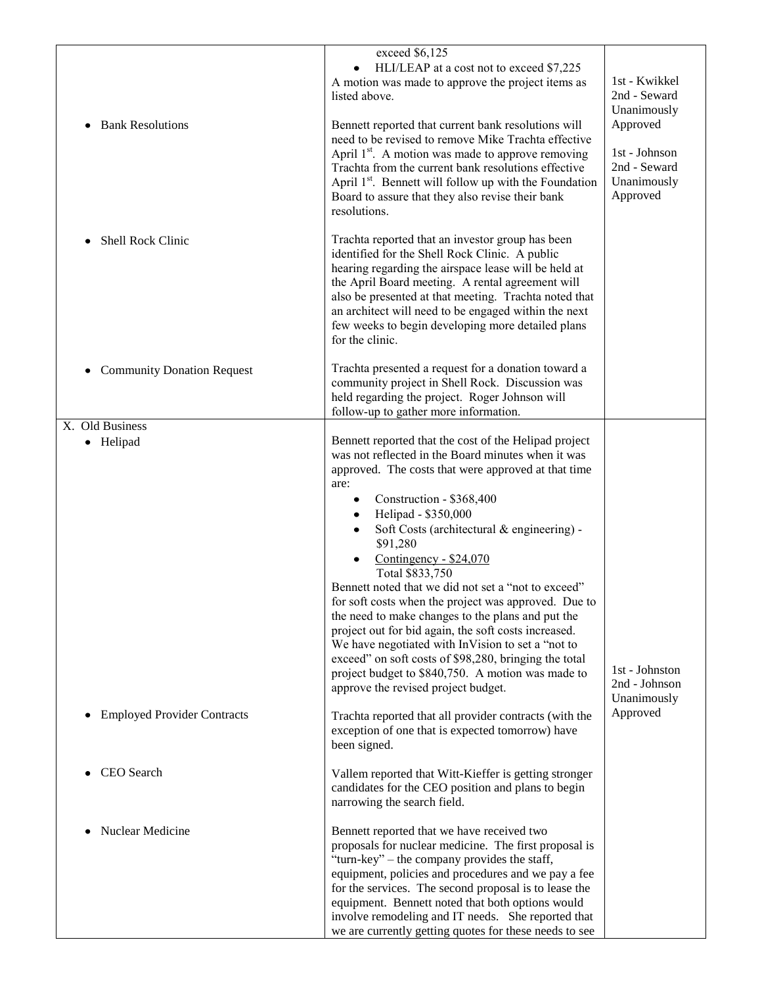| <b>Bank Resolutions</b><br>٠<br>Shell Rock Clinic | exceed $\sqrt{6,125}$<br>HLI/LEAP at a cost not to exceed \$7,225<br>A motion was made to approve the project items as<br>listed above.<br>Bennett reported that current bank resolutions will<br>need to be revised to remove Mike Trachta effective<br>April 1 <sup>st</sup> . A motion was made to approve removing<br>Trachta from the current bank resolutions effective<br>April 1 <sup>st</sup> . Bennett will follow up with the Foundation<br>Board to assure that they also revise their bank<br>resolutions.<br>Trachta reported that an investor group has been<br>identified for the Shell Rock Clinic. A public<br>hearing regarding the airspace lease will be held at<br>the April Board meeting. A rental agreement will<br>also be presented at that meeting. Trachta noted that<br>an architect will need to be engaged within the next<br>few weeks to begin developing more detailed plans | 1st - Kwikkel<br>2nd - Seward<br>Unanimously<br>Approved<br>1st - Johnson<br>2nd - Seward<br>Unanimously<br>Approved |
|---------------------------------------------------|-----------------------------------------------------------------------------------------------------------------------------------------------------------------------------------------------------------------------------------------------------------------------------------------------------------------------------------------------------------------------------------------------------------------------------------------------------------------------------------------------------------------------------------------------------------------------------------------------------------------------------------------------------------------------------------------------------------------------------------------------------------------------------------------------------------------------------------------------------------------------------------------------------------------|----------------------------------------------------------------------------------------------------------------------|
| <b>Community Donation Request</b>                 | for the clinic.<br>Trachta presented a request for a donation toward a<br>community project in Shell Rock. Discussion was<br>held regarding the project. Roger Johnson will<br>follow-up to gather more information.                                                                                                                                                                                                                                                                                                                                                                                                                                                                                                                                                                                                                                                                                            |                                                                                                                      |
| X. Old Business<br>• Helipad                      | Bennett reported that the cost of the Helipad project<br>was not reflected in the Board minutes when it was<br>approved. The costs that were approved at that time<br>are:<br>Construction - \$368,400<br>٠<br>Helipad - \$350,000<br>Soft Costs (architectural & engineering) -<br>\$91,280<br>Contingency - \$24,070<br>Total \$833,750<br>Bennett noted that we did not set a "not to exceed"<br>for soft costs when the project was approved. Due to<br>the need to make changes to the plans and put the<br>project out for bid again, the soft costs increased.<br>We have negotiated with InVision to set a "not to<br>exceed" on soft costs of \$98,280, bringing the total<br>project budget to \$840,750. A motion was made to<br>approve the revised project budget.                                                                                                                                 | 1st - Johnston<br>2nd - Johnson<br>Unanimously                                                                       |
| <b>Employed Provider Contracts</b><br>$\bullet$   | Trachta reported that all provider contracts (with the<br>exception of one that is expected tomorrow) have<br>been signed.                                                                                                                                                                                                                                                                                                                                                                                                                                                                                                                                                                                                                                                                                                                                                                                      | Approved                                                                                                             |
| CEO Search                                        | Vallem reported that Witt-Kieffer is getting stronger<br>candidates for the CEO position and plans to begin<br>narrowing the search field.                                                                                                                                                                                                                                                                                                                                                                                                                                                                                                                                                                                                                                                                                                                                                                      |                                                                                                                      |
| Nuclear Medicine                                  | Bennett reported that we have received two<br>proposals for nuclear medicine. The first proposal is<br>"turn-key" – the company provides the staff,<br>equipment, policies and procedures and we pay a fee<br>for the services. The second proposal is to lease the<br>equipment. Bennett noted that both options would<br>involve remodeling and IT needs. She reported that<br>we are currently getting quotes for these needs to see                                                                                                                                                                                                                                                                                                                                                                                                                                                                         |                                                                                                                      |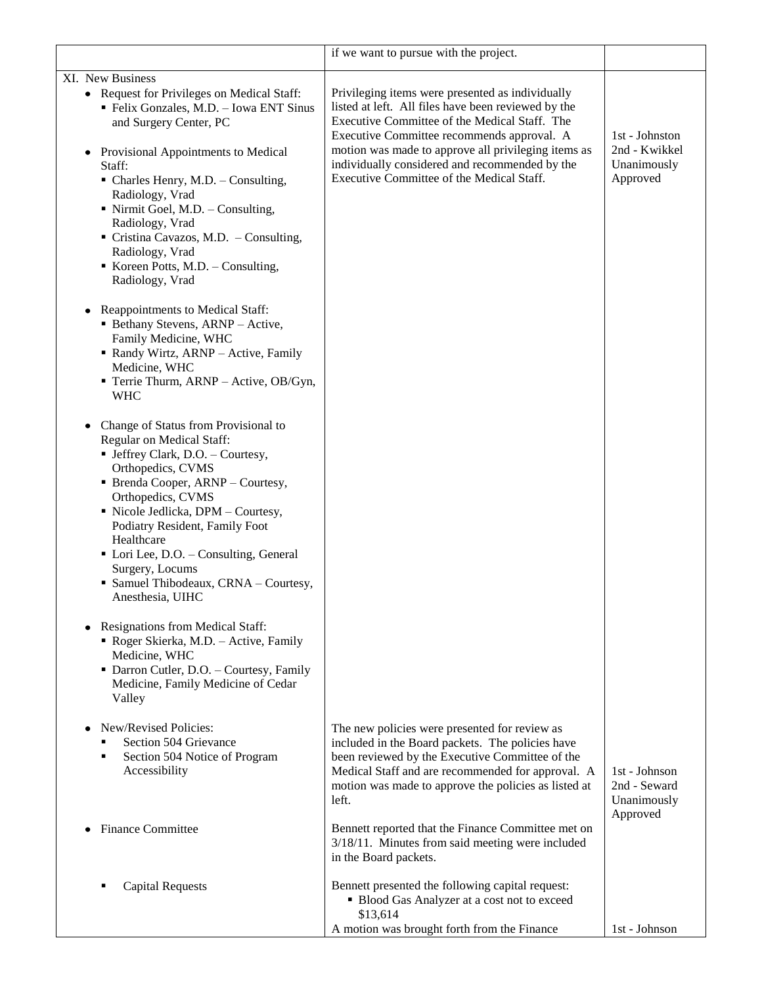|                                                                                                                                                                                                                                                                                                                                                                                                                                                    | if we want to pursue with the project.                                                                                                                                                                                                                                                                                                                       |                                                            |
|----------------------------------------------------------------------------------------------------------------------------------------------------------------------------------------------------------------------------------------------------------------------------------------------------------------------------------------------------------------------------------------------------------------------------------------------------|--------------------------------------------------------------------------------------------------------------------------------------------------------------------------------------------------------------------------------------------------------------------------------------------------------------------------------------------------------------|------------------------------------------------------------|
| XI. New Business<br>• Request for Privileges on Medical Staff:<br>• Felix Gonzales, M.D. - Iowa ENT Sinus<br>and Surgery Center, PC<br>Provisional Appointments to Medical<br>$\bullet$<br>Staff:<br>• Charles Henry, M.D. - Consulting,<br>Radiology, Vrad<br>$\blacksquare$ Nirmit Goel, M.D. – Consulting,<br>Radiology, Vrad<br>Cristina Cavazos, M.D. - Consulting,<br>Radiology, Vrad<br>Koreen Potts, M.D. - Consulting,<br>Radiology, Vrad | Privileging items were presented as individually<br>listed at left. All files have been reviewed by the<br>Executive Committee of the Medical Staff. The<br>Executive Committee recommends approval. A<br>motion was made to approve all privileging items as<br>individually considered and recommended by the<br>Executive Committee of the Medical Staff. | 1st - Johnston<br>2nd - Kwikkel<br>Unanimously<br>Approved |
| Reappointments to Medical Staff:<br>• Bethany Stevens, ARNP - Active,<br>Family Medicine, WHC<br>• Randy Wirtz, ARNP - Active, Family<br>Medicine, WHC<br>Terrie Thurm, ARNP - Active, OB/Gyn,<br><b>WHC</b>                                                                                                                                                                                                                                       |                                                                                                                                                                                                                                                                                                                                                              |                                                            |
| Change of Status from Provisional to<br>٠<br>Regular on Medical Staff:<br>• Jeffrey Clark, D.O. - Courtesy,<br>Orthopedics, CVMS<br>• Brenda Cooper, ARNP – Courtesy,<br>Orthopedics, CVMS<br>• Nicole Jedlicka, DPM - Courtesy,<br>Podiatry Resident, Family Foot<br>Healthcare<br>• Lori Lee, D.O. - Consulting, General<br>Surgery, Locums<br>• Samuel Thibodeaux, CRNA - Courtesy,<br>Anesthesia, UIHC                                         |                                                                                                                                                                                                                                                                                                                                                              |                                                            |
| Resignations from Medical Staff:<br>Roger Skierka, M.D. - Active, Family<br>Medicine, WHC<br>• Darron Cutler, D.O. - Courtesy, Family<br>Medicine, Family Medicine of Cedar<br>Valley                                                                                                                                                                                                                                                              |                                                                                                                                                                                                                                                                                                                                                              |                                                            |
| New/Revised Policies:<br>Section 504 Grievance<br>Section 504 Notice of Program<br>٠<br>Accessibility                                                                                                                                                                                                                                                                                                                                              | The new policies were presented for review as<br>included in the Board packets. The policies have<br>been reviewed by the Executive Committee of the<br>Medical Staff and are recommended for approval. A<br>motion was made to approve the policies as listed at<br>left.                                                                                   | 1st - Johnson<br>2nd - Seward<br>Unanimously<br>Approved   |
| <b>Finance Committee</b>                                                                                                                                                                                                                                                                                                                                                                                                                           | Bennett reported that the Finance Committee met on<br>3/18/11. Minutes from said meeting were included<br>in the Board packets.                                                                                                                                                                                                                              |                                                            |
| <b>Capital Requests</b>                                                                                                                                                                                                                                                                                                                                                                                                                            | Bennett presented the following capital request:<br>• Blood Gas Analyzer at a cost not to exceed<br>\$13,614<br>A motion was brought forth from the Finance                                                                                                                                                                                                  | 1st - Johnson                                              |
|                                                                                                                                                                                                                                                                                                                                                                                                                                                    |                                                                                                                                                                                                                                                                                                                                                              |                                                            |